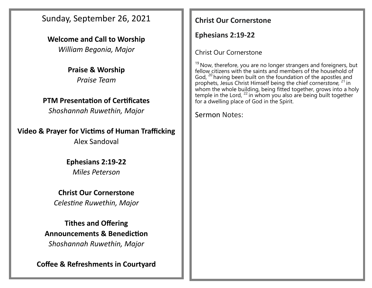Sunday, September 26, 2021

**Welcome and Call to Worship** *William Begonia, Major*

> **Praise & Worship** *Praise Team*

## **PTM Presentation of Certificates**

*Shoshannah Ruwethin, Major*

**Video & Prayer for Victims of Human Trafficking**

Alex Sandoval

**Ephesians 2:19-22** *Miles Peterson*

**Christ Our Cornerstone** *Celestine Ruwethin, Major*

**Tithes and Offering Announcements & Benediction** *Shoshannah Ruwethin, Major*

**Coffee & Refreshments in Courtyard**

## **Christ Our Cornerstone**

**Ephesians 2:19-22**

Christ Our Cornerstone

 $19$  Now, therefore, you are no longer strangers and foreigners, but fellow citizens with the saints and members of the household of God, <sup>20</sup> having been built on the foundation of the apostles and prophets, Jesus Christ Himself being the chief corner*stone,* <sup>21</sup> in whom the whole building, being fitted together, grows into a holy temple in the Lord,  $^{22}$  in whom you also are being built together for a dwelling place of God in the Spirit.

Sermon Notes: